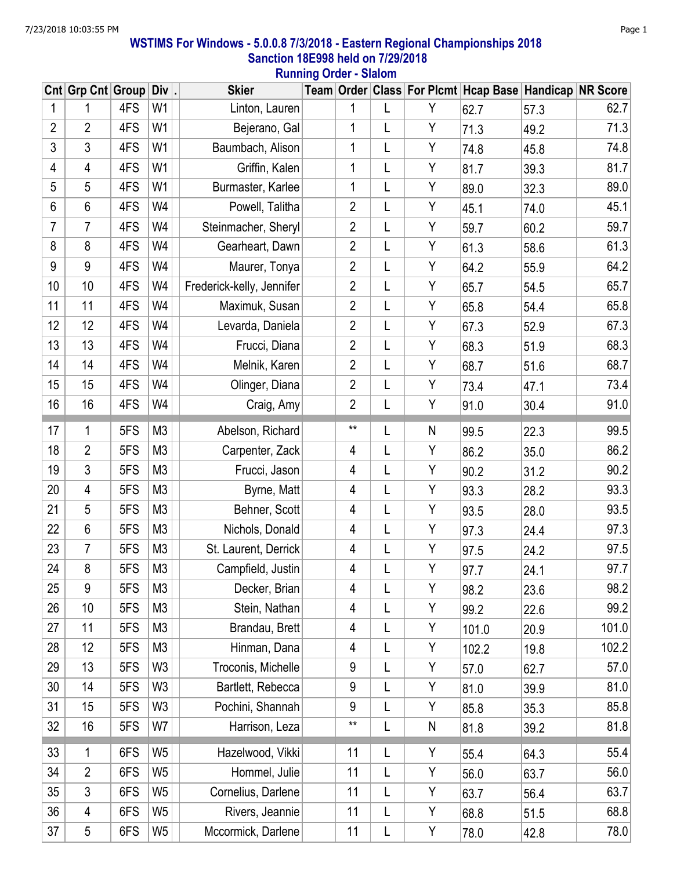## WSTIMS For Windows - 5.0.0.8 7/3/2018 - Eastern Regional Championships 2018 Sanction 18E998 held on 7/29/2018 Running Order - Slalom

|                | Cnt Grp Cnt Group Div |     |                | <b>Skier</b>              |                |   |   | Team Order Class For Plcmt Hcap Base Handicap NR Score |      |       |
|----------------|-----------------------|-----|----------------|---------------------------|----------------|---|---|--------------------------------------------------------|------|-------|
| 1              | 1                     | 4FS | W1             | Linton, Lauren            | 1              | L | Υ | 62.7                                                   | 57.3 | 62.7  |
| $\overline{2}$ | $\overline{2}$        | 4FS | W <sub>1</sub> | Bejerano, Gal             | 1              | L | Y | 71.3                                                   | 49.2 | 71.3  |
| $\mathfrak{Z}$ | 3                     | 4FS | W <sub>1</sub> | Baumbach, Alison          | 1              | L | Y | 74.8                                                   | 45.8 | 74.8  |
| $\overline{4}$ | 4                     | 4FS | W <sub>1</sub> | Griffin, Kalen            | 1              | L | Y | 81.7                                                   | 39.3 | 81.7  |
| 5              | 5                     | 4FS | W <sub>1</sub> | Burmaster, Karlee         | 1              | L | Y | 89.0                                                   | 32.3 | 89.0  |
| 6              | 6                     | 4FS | W4             | Powell, Talitha           | $\overline{2}$ | L | Y | 45.1                                                   | 74.0 | 45.1  |
| 7              | 7                     | 4FS | W4             | Steinmacher, Sheryl       | $\overline{2}$ | L | Y | 59.7                                                   | 60.2 | 59.7  |
| 8              | 8                     | 4FS | W4             | Gearheart, Dawn           | $\overline{2}$ | L | Y | 61.3                                                   | 58.6 | 61.3  |
| $9\,$          | 9                     | 4FS | W4             | Maurer, Tonya             | $\overline{2}$ | L | Y | 64.2                                                   | 55.9 | 64.2  |
| 10             | 10                    | 4FS | W4             | Frederick-kelly, Jennifer | $\overline{2}$ | L | Y | 65.7                                                   | 54.5 | 65.7  |
| 11             | 11                    | 4FS | W4             | Maximuk, Susan            | $\overline{2}$ | L | Y | 65.8                                                   | 54.4 | 65.8  |
| 12             | 12                    | 4FS | W4             | Levarda, Daniela          | $\overline{2}$ | L | Y | 67.3                                                   | 52.9 | 67.3  |
| 13             | 13                    | 4FS | W4             | Frucci, Diana             | $\overline{2}$ | L | Y | 68.3                                                   | 51.9 | 68.3  |
| 14             | 14                    | 4FS | W4             | Melnik, Karen             | $\overline{2}$ | L | Y | 68.7                                                   | 51.6 | 68.7  |
| 15             | 15                    | 4FS | W4             | Olinger, Diana            | $\overline{2}$ | L | Y | 73.4                                                   | 47.1 | 73.4  |
| 16             | 16                    | 4FS | W4             | Craig, Amy                | $\overline{2}$ | L | Y | 91.0                                                   | 30.4 | 91.0  |
| 17             | 1                     | 5FS | M <sub>3</sub> | Abelson, Richard          | $***$          | L | N | 99.5                                                   | 22.3 | 99.5  |
| 18             | $\overline{2}$        | 5FS | M <sub>3</sub> | Carpenter, Zack           | 4              | L | Y | 86.2                                                   | 35.0 | 86.2  |
| 19             | 3                     | 5FS | M <sub>3</sub> | Frucci, Jason             | 4              | L | Y | 90.2                                                   | 31.2 | 90.2  |
| 20             | 4                     | 5FS | M <sub>3</sub> | Byrne, Matt               | 4              | L | Y | 93.3                                                   | 28.2 | 93.3  |
| 21             | 5                     | 5FS | M <sub>3</sub> | Behner, Scott             | 4              | L | Y | 93.5                                                   | 28.0 | 93.5  |
| 22             | 6                     | 5FS | M <sub>3</sub> | Nichols, Donald           | 4              | L | Y | 97.3                                                   | 24.4 | 97.3  |
| 23             | 7                     | 5FS | M <sub>3</sub> | St. Laurent, Derrick      | 4              | L | Y | 97.5                                                   | 24.2 | 97.5  |
| 24             | 8                     | 5FS | M <sub>3</sub> | Campfield, Justin         | 4              | L | Y | 97.7                                                   | 24.1 | 97.7  |
| 25             | 9                     | 5FS | M <sub>3</sub> | Decker, Brian             | 4              | L | Y | 98.2                                                   | 23.6 | 98.2  |
| 26             | 10                    | 5FS | M <sub>3</sub> | Stein, Nathan             | $\overline{4}$ | L | Y | 99.2                                                   | 22.6 | 99.2  |
| 27             | 11                    | 5FS | M <sub>3</sub> | Brandau, Brett            | 4              | L | Υ | 101.0                                                  | 20.9 | 101.0 |
| 28             | 12                    | 5FS | M <sub>3</sub> | Hinman, Dana              | 4              | L | Y | 102.2                                                  | 19.8 | 102.2 |
| 29             | 13                    | 5FS | W <sub>3</sub> | Troconis, Michelle        | 9              | L | Y | 57.0                                                   | 62.7 | 57.0  |
| 30             | 14                    | 5FS | W <sub>3</sub> | Bartlett, Rebecca         | 9              | L | Y | 81.0                                                   | 39.9 | 81.0  |
| 31             | 15                    | 5FS | W <sub>3</sub> | Pochini, Shannah          | 9              | L | Y | 85.8                                                   | 35.3 | 85.8  |
| 32             | 16                    | 5FS | W7             | Harrison, Leza            | **             | L | N | 81.8                                                   | 39.2 | 81.8  |
| 33             | 1                     | 6FS | W <sub>5</sub> | Hazelwood, Vikki          | 11             | L | Y | 55.4                                                   | 64.3 | 55.4  |
| 34             | $\overline{2}$        | 6FS | W <sub>5</sub> | Hommel, Julie             | 11             | L | Y | 56.0                                                   | 63.7 | 56.0  |
| 35             | 3                     | 6FS | W <sub>5</sub> | Cornelius, Darlene        | 11             | L | Y | 63.7                                                   | 56.4 | 63.7  |
| 36             | 4                     | 6FS | W <sub>5</sub> | Rivers, Jeannie           | 11             | L | Y | 68.8                                                   | 51.5 | 68.8  |
| 37             | 5                     | 6FS | W5             | Mccormick, Darlene        | 11             | L | Y | 78.0                                                   | 42.8 | 78.0  |